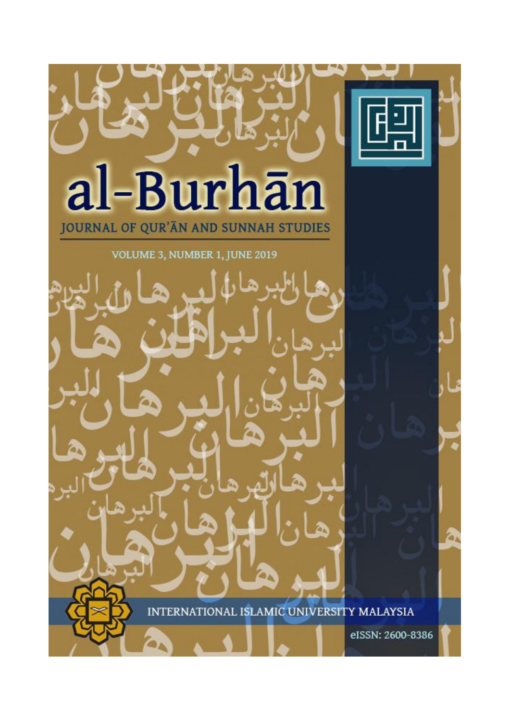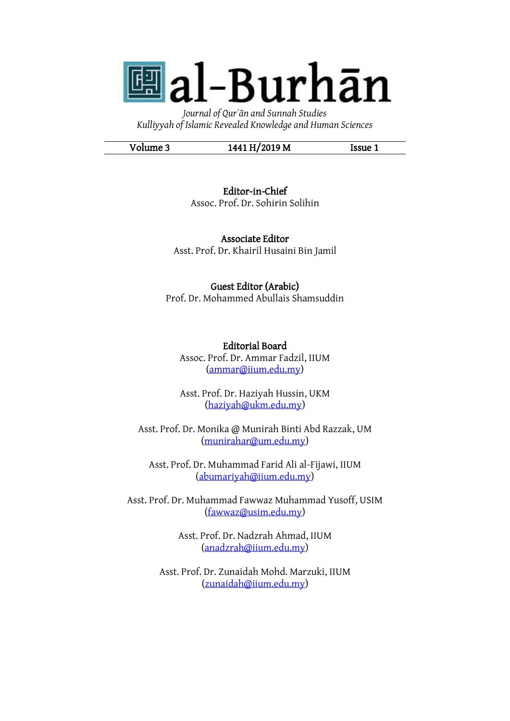**團al-Burhān** 

*Journal of Qurʾān and Sunnah Studies Kulliyyah of Islamic Revealed Knowledge and Human Sciences*

Volume 3 1441 H/2019 M Issue 1

Editor-in-Chief Assoc. Prof. Dr. Sohirin Solihin

Associate Editor Asst. Prof. Dr. Khairil Husaini Bin Jamil

Guest Editor (Arabic) Prof. Dr. Mohammed Abullais Shamsuddin

Editorial Board Assoc. Prof. Dr. Ammar Fadzil, IIUM [\(ammar@iium.edu.my\)](mailto:ammar@iium.edu.my)

Asst. Prof. Dr. Haziyah Hussin, UKM [\(haziyah@ukm.edu.my\)](mailto:haziyah@ukm.edu.my)

Asst. Prof. Dr. Monika @ Munirah Binti Abd Razzak, UM [\(munirahar@um.edu.my\)](mailto:munirahar@um.edu.my)

Asst. Prof. Dr. Muhammad Farid Ali al-Fijawi, IIUM [\(abumariyah@iium.edu.my\)](mailto:abumariyah@iium.edu.my)

Asst. Prof. Dr. Muhammad Fawwaz Muhammad Yusoff, USIM [\(fawwaz@usim.edu.my\)](mailto:fawwaz@usim.edu.my)

> Asst. Prof. Dr. Nadzrah Ahmad, IIUM [\(anadzrah@iium.edu.my\)](mailto:anadzrah@iium.edu.my)

Asst. Prof. Dr. Zunaidah Mohd. Marzuki, IIUM [\(zunaidah@iium.edu.my\)](mailto:zunaidah@iium.edu.my)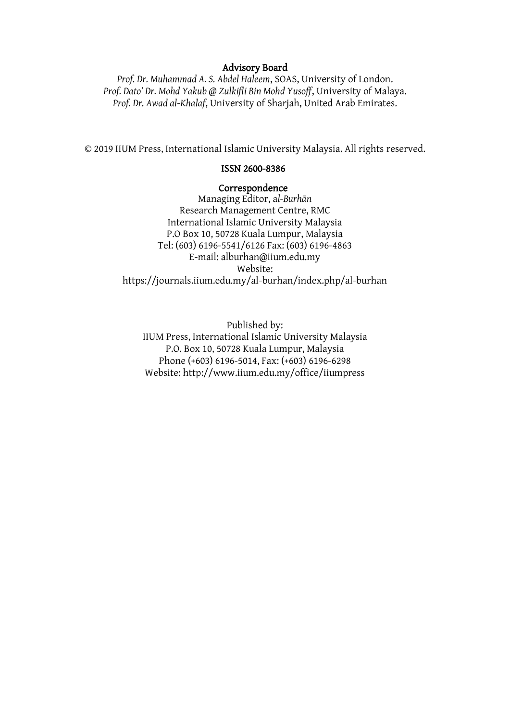#### Advisory Board

*Prof. Dr. Muhammad A. S. Abdel Haleem*, SOAS, University of London. *Prof. Dato' Dr. Mohd Yakub @ Zulkifli Bin Mohd Yusoff*, University of Malaya. *Prof. Dr. Awad al-Khalaf*, University of Sharjah, United Arab Emirates.

© 2019 IIUM Press, International Islamic University Malaysia. All rights reserved.

#### ISSN 2600-8386

#### Correspondence

Managing Editor, a*l-Burhān* Research Management Centre, RMC International Islamic University Malaysia P.O Box 10, 50728 Kuala Lumpur, Malaysia Tel: (603) 6196-5541/6126 Fax: (603) 6196-4863 E-mail: alburhan@iium.edu.my Website: https://journals.iium.edu.my/al-burhan/index.php/al-burhan

Published by: IIUM Press, International Islamic University Malaysia P.O. Box 10, 50728 Kuala Lumpur, Malaysia Phone (+603) 6196-5014, Fax: (+603) 6196-6298 Website: http://www.iium.edu.my/office/iiumpress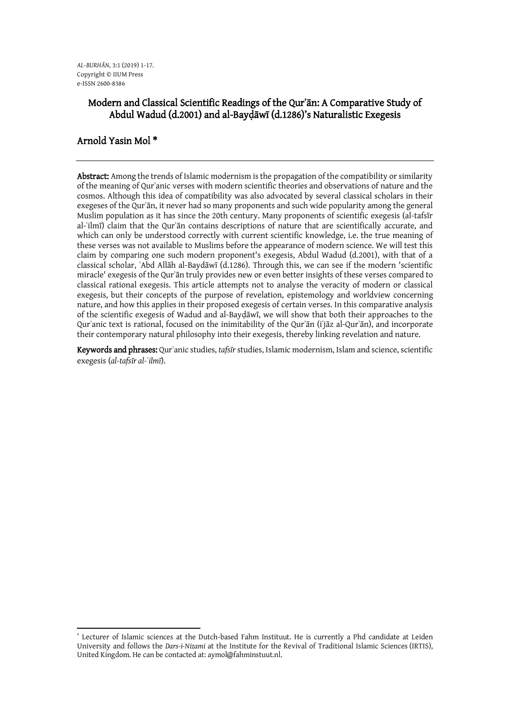# Modern and Classical Scientific Readings of the Qurʾān: A Comparative Study of Abdul Wadud (d.2001) and al-Bayḍāwī (d.1286)'s Naturalistic Exegesis

## Arnold Yasin Mol \*

Abstract: Among the trends of Islamic modernism is the propagation of the compatibility or similarity of the meaning of Qurʾanic verses with modern scientific theories and observations of nature and the cosmos. Although this idea of compatibility was also advocated by several classical scholars in their exegeses of the Qurʾān, it never had so many proponents and such wide popularity among the general Muslim population as it has since the 20th century. Many proponents of scientific exegesis (al-tafsīr al-ʿilmī) claim that the Qurʾān contains descriptions of nature that are scientifically accurate, and which can only be understood correctly with current scientific knowledge, i.e. the true meaning of these verses was not available to Muslims before the appearance of modern science. We will test this claim by comparing one such modern proponent's exegesis, Abdul Wadud (d.2001), with that of a classical scholar, ʿAbd Allāh al-Baydāwī (d.1286). Through this, we can see if the modern 'scientific miracle' exegesis of the Qurʾān truly provides new or even better insights of these verses compared to classical rational exegesis. This article attempts not to analyse the veracity of modern or classical exegesis, but their concepts of the purpose of revelation, epistemology and worldview concerning nature, and how this applies in their proposed exegesis of certain verses. In this comparative analysis of the scientific exegesis of Wadud and al-Bayḍāwī, we will show that both their approaches to the Qurʾanic text is rational, focused on the inimitability of the Qurʾān (iʿjāz al-Qurʾān), and incorporate their contemporary natural philosophy into their exegesis, thereby linking revelation and nature.

Keywords and phrases: Qurʾanic studies, *tafsīr* studies, Islamic modernism, Islam and science, scientific exegesis (*al-tafsīr al-ʿilmī*).

**<sup>.</sup>** \* Lecturer of Islamic sciences at the Dutch-based Fahm Instituut. He is currently a Phd candidate at Leiden University and follows the *Dars-i-Nizami* at the Institute for the Revival of Traditional Islamic Sciences (IRTIS), United Kingdom. He can be contacted at: aymol@fahminstuut.nl.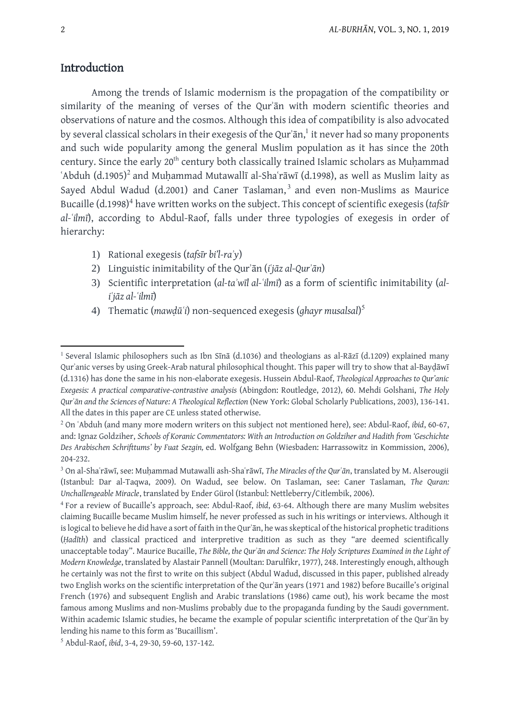# Introduction

Among the trends of Islamic modernism is the propagation of the compatibility or similarity of the meaning of verses of the Qurʾān with modern scientific theories and observations of nature and the cosmos. Although this idea of compatibility is also advocated by several classical scholars in their exegesis of the Qur'ān, $^{\rm l}$  it never had so many proponents and such wide popularity among the general Muslim population as it has since the 20th century. Since the early 20<sup>th</sup> century both classically trained Islamic scholars as Muhammad 'Abduh  $(d.1905)^2$  and Muḥammad Mutawallī al-Shaʿrāwī (d.1998), as well as Muslim laity as Sayed Abdul Wadud (d.2001) and Caner Taslaman,<sup>3</sup> and even non-Muslims as Maurice Bucaille (d.1998)<sup>4</sup> have written works on the subject. This concept of scientific exegesis (*tafsīr al-ʿilmī*), according to Abdul-Raof, falls under three typologies of exegesis in order of hierarchy:

- 1) Rational exegesis (*tafsīr bi'l-raʾy*)
- 2) Linguistic inimitability of the Qurʾān (*iʿjāz al-Qurʾān*)
- 3) Scientific interpretation (*al-taʾwīl al-ʿilmī*) as a form of scientific inimitability (*aliʿjāz al-ʿilmī*)
- 4) Thematic (*mawḍūʿi*) non-sequenced exegesis (*ghayr musalsal*) 5

1

<sup>&</sup>lt;sup>1</sup> Several Islamic philosophers such as Ibn Sīnā (d.1036) and theologians as al-Rāzī (d.1209) explained many Qurʾanic verses by using Greek-Arab natural philosophical thought. This paper will try to show that al-Bayḍāwī (d.1316) has done the same in his non-elaborate exegesis. Hussein Abdul-Raof, *Theological Approaches to Qur'anic Exegesis: A practical comparative-contrastive analysis* (Abingdon: Routledge, 2012), 60. Mehdi Golshani, *The Holy Qurʾān and the Sciences of Nature: A Theological Reflection* (New York: Global Scholarly Publications, 2003), 136-141. All the dates in this paper are CE unless stated otherwise.

<sup>2</sup> On ʿAbduh (and many more modern writers on this subject not mentioned here), see: Abdul-Raof, *ibid*, 60-67, and: Ignaz Goldziher, *Schools of Koranic Commentators: With an Introduction on Goldziher and Hadith from 'Geschichte Des Arabischen Schrifttums' by Fuat Sezgin,* ed. Wolfgang Behn (Wiesbaden: Harrassowitz in Kommission, 2006), 204-232.

<sup>3</sup> On al-Shaʿrāwī, see: Muḥammad Mutawalli ash-Shaʿrāwī, *The Miracles of the Qurʾān*, translated by M. Alserougii (Istanbul: Dar al-Taqwa, 2009). On Wadud, see below. On Taslaman, see: Caner Taslaman, *The Quran: Unchallengeable Miracle*, translated by Ender Gürol (Istanbul: Nettleberry/Citlembik, 2006).

<sup>4</sup> For a review of Bucaille's approach, see: Abdul-Raof, *ibid*, 63-64. Although there are many Muslim websites claiming Bucaille became Muslim himself, he never professed as such in his writings or interviews. Although it is logical to believe he did have a sort of faith in the Qur'ān, he was skeptical of the historical prophetic traditions (*Ḥadīth*) and classical practiced and interpretive tradition as such as they "are deemed scientifically unacceptable today". Maurice Bucaille, *The Bible, the Qurʾān and Science: The Holy Scriptures Examined in the Light of Modern Knowledge*, translated by Alastair Pannell (Moultan: Darulfikr, 1977), 248. Interestingly enough, although he certainly was not the first to write on this subject (Abdul Wadud, discussed in this paper, published already two English works on the scientific interpretation of the Qurʾān years (1971 and 1982) before Bucaille's original French (1976) and subsequent English and Arabic translations (1986) came out), his work became the most famous among Muslims and non-Muslims probably due to the propaganda funding by the Saudi government. Within academic Islamic studies, he became the example of popular scientific interpretation of the Qurʾān by lending his name to this form as 'Bucaillism'.

<sup>5</sup> Abdul-Raof, *ibid*, 3-4, 29-30, 59-60, 137-142.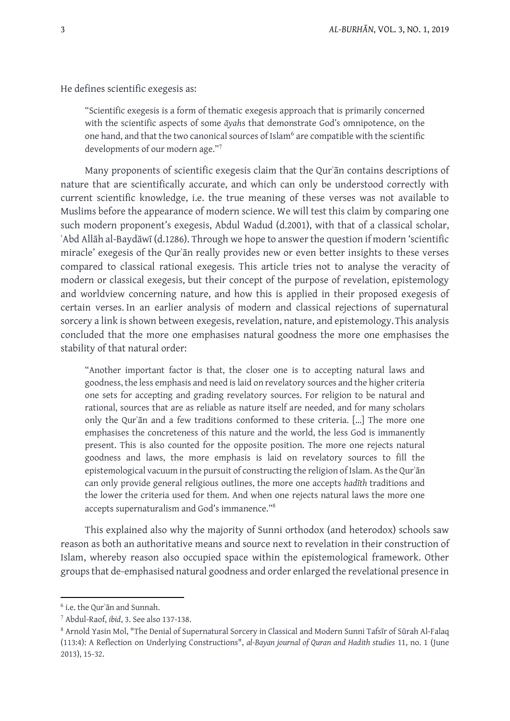He defines scientific exegesis as:

"Scientific exegesis is a form of thematic exegesis approach that is primarily concerned with the scientific aspects of some *āyah*s that demonstrate God's omnipotence, on the one hand, and that the two canonical sources of Islam<sup>6</sup> are compatible with the scientific developments of our modern age."<sup>7</sup>

Many proponents of scientific exegesis claim that the Qurʾān contains descriptions of nature that are scientifically accurate, and which can only be understood correctly with current scientific knowledge, i.e. the true meaning of these verses was not available to Muslims before the appearance of modern science. We will test this claim by comparing one such modern proponent's exegesis, Abdul Wadud (d.2001), with that of a classical scholar, ʿAbd Allāh al-Baydāwī (d.1286). Through we hope to answer the question if modern 'scientific miracle' exegesis of the Qurʾān really provides new or even better insights to these verses compared to classical rational exegesis. This article tries not to analyse the veracity of modern or classical exegesis, but their concept of the purpose of revelation, epistemology and worldview concerning nature, and how this is applied in their proposed exegesis of certain verses. In an earlier analysis of modern and classical rejections of supernatural sorcery a link is shown between exegesis, revelation, nature, and epistemology. This analysis concluded that the more one emphasises natural goodness the more one emphasises the stability of that natural order:

"Another important factor is that, the closer one is to accepting natural laws and goodness, the less emphasis and need is laid on revelatory sources and the higher criteria one sets for accepting and grading revelatory sources. For religion to be natural and rational, sources that are as reliable as nature itself are needed, and for many scholars only the Qurʾān and a few traditions conformed to these criteria. […] The more one emphasises the concreteness of this nature and the world, the less God is immanently present. This is also counted for the opposite position. The more one rejects natural goodness and laws, the more emphasis is laid on revelatory sources to fill the epistemological vacuum in the pursuit of constructing the religion of Islam. Asthe Qurʾān can only provide general religious outlines, the more one accepts *hadīth* traditions and the lower the criteria used for them. And when one rejects natural laws the more one accepts supernaturalism and God's immanence."<sup>8</sup>

This explained also why the majority of Sunni orthodox (and heterodox) schools saw reason as both an authoritative means and source next to revelation in their construction of Islam, whereby reason also occupied space within the epistemological framework. Other groupsthat de-emphasised natural goodness and order enlarged the revelational presence in

-

<sup>6</sup> i.e. the Qurʾān and Sunnah.

<sup>7</sup> Abdul-Raof, *ibid*, 3. See also 137-138.

<sup>8</sup> Arnold Yasin Mol, "The Denial of Supernatural Sorcery in Classical and Modern Sunni Tafsīr of Sūrah Al-Falaq (113:4): A Reflection on Underlying Constructions", *al-Bayan journal of Quran and Hadith studies* 11, no. 1 (June 2013), 15-32.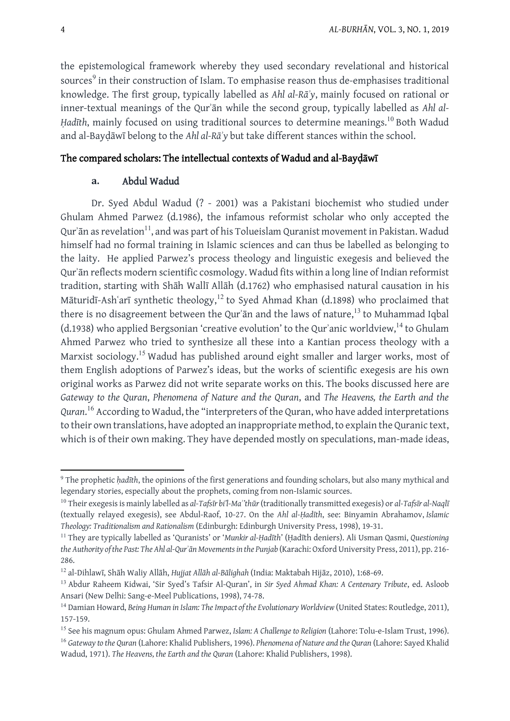the epistemological framework whereby they used secondary revelational and historical sources<sup>9</sup> in their construction of Islam. To emphasise reason thus de-emphasises traditional knowledge. The first group, typically labelled as *Ahl al-Rāʾy*, mainly focused on rational or inner-textual meanings of the Qurʾān while the second group, typically labelled as *Ahl al-Hadīth*, mainly focused on using traditional sources to determine meanings.<sup>10</sup> Both Wadud and al-Bayḍāwī belong to the *Ahl al-Rāʾy* but take different stances within the school.

## The compared scholars: The intellectual contexts of Wadud and al-Bayḍāwī

## **a.** Abdul Wadud

Dr. Syed Abdul Wadud (? - 2001) was a Pakistani biochemist who studied under Ghulam Ahmed Parwez (d.1986), the infamous reformist scholar who only accepted the Qurʾān as revelation $^{\rm 11}$ , and was part of his Tolueislam Quranist movement in Pakistan. Wadud himself had no formal training in Islamic sciences and can thus be labelled as belonging to the laity. He applied Parwez's process theology and linguistic exegesis and believed the Qurʾān reflects modern scientific cosmology. Wadud fits within a long line of Indian reformist tradition, starting with Shāh Wallī Allāh (d.1762) who emphasised natural causation in his Māturidī-Ashʿarī synthetic theology,<sup>12</sup> to Syed Ahmad Khan (d.1898) who proclaimed that there is no disagreement between the Qur'ān and the laws of nature,<sup>13</sup> to Muhammad Iqbal (d.1938) who applied Bergsonian 'creative evolution' to the Qur'anic worldview,<sup>14</sup> to Ghulam Ahmed Parwez who tried to synthesize all these into a Kantian process theology with a Marxist sociology.<sup>15</sup> Wadud has published around eight smaller and larger works, most of them English adoptions of Parwez's ideas, but the works of scientific exegesis are his own original works as Parwez did not write separate works on this. The books discussed here are *Gateway to the Quran*, *Phenomena of Nature and the Quran*, and *The Heavens, the Earth and the Quran*. <sup>16</sup> According to Wadud, the "interpreters of the Quran, who have added interpretations to their own translations, have adopted an inappropriate method, to explain the Quranic text, which is of their own making. They have depended mostly on speculations, man-made ideas,

-

<sup>&</sup>lt;sup>9</sup> The prophetic *hadīth*, the opinions of the first generations and founding scholars, but also many mythical and legendary stories, especially about the prophets, coming from non-Islamic sources.

<sup>10</sup> Their exegesisis mainly labelled as *al-Tafsīr bi'l-Maʾ'thūr*(traditionally transmitted exegesis) or *al-Tafsīr al-Naqlī* (textually relayed exegesis), see Abdul-Raof, 10-27. On the *Ahl al-Ḥadīth*, see: Binyamin Abrahamov, *Islamic Theology: Traditionalism and Rationalism* (Edinburgh: Edinburgh University Press, 1998), 19-31.

<sup>11</sup> They are typically labelled as 'Quranists' or '*Munkir al-Ḥadīth*' (Ḥadīth deniers). Ali Usman Qasmi, *Questioning the Authority ofthe Past: The Ahl al-Qurʾān Movementsin the Punjab* (Karachi: Oxford University Press, 2011), pp. 216- 286.

<sup>12</sup> al-Dihlawī, Shāh Waliy Allāh, *Hujjat Allāh al-Bālighah* (India: Maktabah Hijāz, 2010), 1:68-69.

<sup>13</sup> Abdur Raheem Kidwai, 'Sir Syed's Tafsir Al-Quran', in *Sir Syed Ahmad Khan: A Centenary Tribute*, ed. Asloob Ansari (New Delhi: Sang-e-Meel Publications, 1998), 74-78.

<sup>14</sup> Damian Howard, *Being Human in Islam: TheImpact of the Evolutionary Worldview* (United States: Routledge, 2011), 157-159.

<sup>15</sup> See his magnum opus: Ghulam Ahmed Parwez, *Islam: A Challenge to Religion* (Lahore: Tolu-e-Islam Trust, 1996). <sup>16</sup> *Gateway to the Quran* (Lahore: Khalid Publishers, 1996). *Phenomena of Nature and the Quran* (Lahore: Sayed Khalid Wadud, 1971). *The Heavens, the Earth and the Quran* (Lahore: Khalid Publishers, 1998).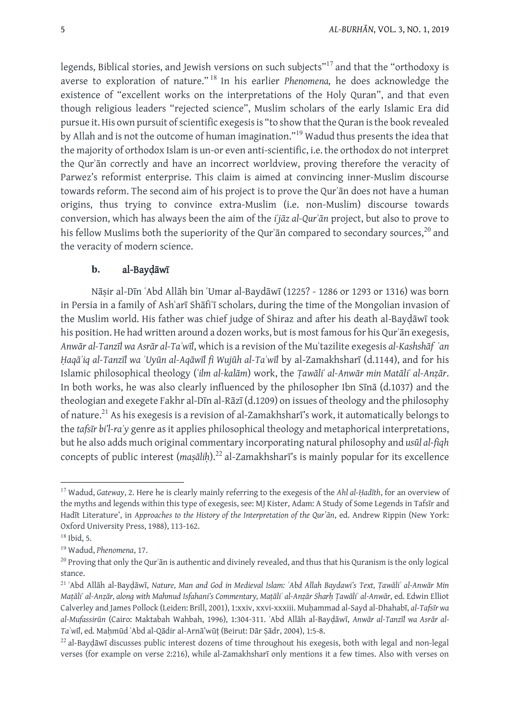legends, Biblical stories, and Jewish versions on such subjects"<sup>17</sup> and that the "orthodoxy is averse to exploration of nature." <sup>18</sup> In his earlier *Phenomena,* he does acknowledge the existence of "excellent works on the interpretations of the Holy Quran", and that even though religious leaders "rejected science", Muslim scholars of the early Islamic Era did pursue it. His own pursuit of scientific exegesis is "to show that the Quran is the book revealed by Allah and is not the outcome of human imagination."<sup>19</sup> Wadud thus presents the idea that the majority of orthodox Islam is un-or even anti-scientific, i.e.the orthodox do not interpret the Qurʾān correctly and have an incorrect worldview, proving therefore the veracity of Parwez's reformist enterprise. This claim is aimed at convincing inner-Muslim discourse towards reform. The second aim of his project is to prove the Qurʾān does not have a human origins, thus trying to convince extra-Muslim (i.e. non-Muslim) discourse towards conversion, which has always been the aim of the *iʿjāz al-Qurʾān* project, but also to prove to his fellow Muslims both the superiority of the Qur'ān compared to secondary sources, $^{20}$  and the veracity of modern science.

# **b.** al-Bayḍāwī

Nāṣir al-Dīn ʿAbd Allāh bin ʿUmar al-Baydāwī (1225? - 1286 or 1293 or 1316) was born in Persia in a family of Ashʿarī Shāfiʿī scholars, during the time of the Mongolian invasion of the Muslim world. His father was chief judge of Shiraz and after his death al-Bayḍāwī took his position. He had written around a dozen works, but is most famous for his Qur'ān exegesis, *Anwār al-Tanzīl wa Asrār al-Taʾwīl*, which is a revision of the Muʿtazilite exegesis *al-Kashshāf ʿan Ḥaqāʾiq al-Tanzīl wa ʿUyūn al-Aqāwīl fi Wujūh al-Taʾwīl* by al-Zamakhsharī (d.1144), and for his Islamic philosophical theology (*ʿilm al-kalām*) work, the *Ṭawāliʿ al-Anwār min Matāliʿ al-Anẓār*. In both works, he was also clearly influenced by the philosopher Ibn Sīnā (d.1037) and the theologian and exegete Fakhr al-Dīn al-Rāzī (d.1209) on issues of theology and the philosophy of nature.<sup>21</sup> As his exegesis is a revision of al-Zamakhsharī's work, it automatically belongs to the *tafsīr bi'l-raʾy* genre asit applies philosophical theology and metaphorical interpretations, but he also adds much original commentary incorporating natural philosophy and *usūl al-fiqh* concepts of public interest (*maṣāliḥ*).<sup>22</sup> al-Zamakhsharī's is mainly popular for its excellence

**<sup>.</sup>** <sup>17</sup> Wadud, *Gateway*, 2. Here he is clearly mainly referring to the exegesis of the *Ahl al-Ḥadīth*, for an overview of the myths and legends within this type of exegesis, see: MJ Kister, Adam: A Study of Some Legends in Tafsīr and Hadīt Literature', in *Approaches to the History of the Interpretation of the Qur'ān*, ed. Andrew Rippin (New York: Oxford University Press, 1988), 113-162.

 $18$  Ibid, 5.

<sup>19</sup> Wadud, *Phenomena*, 17.

<sup>&</sup>lt;sup>20</sup> Proving that only the Qur'ān is authentic and divinely revealed, and thus that his Quranism is the only logical stance.

<sup>&</sup>lt;sup>21</sup>ʻAbd Allāh al-Bayḍāwī, Nature, Man and God in Medieval Islam: ʿAbd Allah Baydawi's Text, Ṭawāliʿ al-Anwār Min Matāli' al-Anzār, along with Mahmud Isfahani's Commentary, Matāli' al-Anzār Sharh Tawāli' al-Anwār, ed. Edwin Elliot Calverley and James Pollock (Leiden: Brill, 2001), 1:xxiv, xxvi-xxxiii. Muḥammad al-Sayd al-Dhahabī, *al-Tafsīr wa al-Mufassirūn* (Cairo: Maktabah Wahbah, 1996), 1:304-311. ʿAbd Allāh al-Bayḍāwī, *Anwār al-Tanzīl wa Asrār al-Taʾwīl*, ed. Maḥmūd ʿAbd al-Qādir al-Arnā'wūṭ (Beirut: Dār Ṣādr, 2004), 1:5-8.

<sup>22</sup> al-Bayḍāwī discusses public interest dozens of time throughout his exegesis, both with legal and non-legal verses (for example on verse 2:216), while al-Zamakhsharī only mentions it a few times. Also with verses on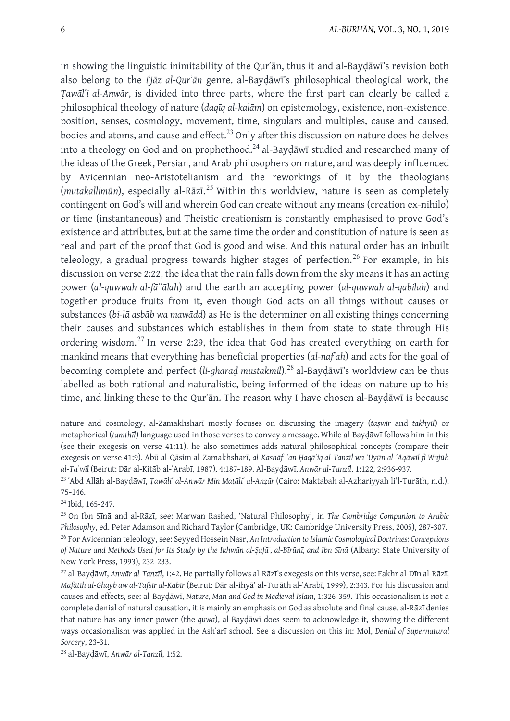in showing the linguistic inimitability of the Qurʾān, thus it and al-Bayḍāwī's revision both also belong to the *iʿjāz al-Qurʾān* genre. al-Bayḍāwī's philosophical theological work, the *Ṭawālʿi al-Anwār*, is divided into three parts, where the first part can clearly be called a philosophical theology of nature (*daqīq al-kalām*) on epistemology, existence, non-existence, position, senses, cosmology, movement, time, singulars and multiples, cause and caused, bodies and atoms, and cause and effect.<sup>23</sup> Only after this discussion on nature does he delves into a theology on God and on prophethood.<sup>24</sup> al-Baydawi studied and researched many of the ideas of the Greek, Persian, and Arab philosophers on nature, and was deeply influenced by Avicennian neo-Aristotelianism and the reworkings of it by the theologians (*mutakallimūn*), especially al-Rāzī. <sup>25</sup> Within this worldview, nature is seen as completely contingent on God's will and wherein God can create without any means (creation ex-nihilo) or time (instantaneous) and Theistic creationism is constantly emphasised to prove God's existence and attributes, but at the same time the order and constitution of nature is seen as real and part of the proof that God is good and wise. And this natural order has an inbuilt teleology, a gradual progress towards higher stages of perfection.<sup>26</sup> For example, in his discussion on verse 2:22, the idea that the rain falls down from the sky means it has an acting power (*al-quwwah al-fāʿʿālah*) and the earth an accepting power (*al-quwwah al-qabilah*) and together produce fruits from it, even though God acts on all things without causes or substances (*bi-lā asbāb wa mawādd*) as He is the determiner on all existing things concerning their causes and substances which establishes in them from state to state through His ordering wisdom.<sup>27</sup> In verse 2:29, the idea that God has created everything on earth for mankind means that everything has beneficial properties (*al-nafʿah*) and acts for the goal of becoming complete and perfect (*li-gharaḍ mustakmil*).<sup>28</sup> al-Bayḍāwī's worldview can be thus labelled as both rational and naturalistic, being informed of the ideas on nature up to his time, and linking these to the Qurʾān. The reason why I have chosen al-Bayḍāwī is because

**.** 

nature and cosmology, al-Zamakhsharī mostly focuses on discussing the imagery (*taṣwīr* and *takhyīl*) or metaphorical (*tamthīl*) language used in those verses to convey a message. While al-Bayḍāwī follows him in this (see their exegesis on verse 41:11), he also sometimes adds natural philosophical concepts (compare their exegesis on verse 41:9). Abū al-Qāsim al-Zamakhsharī, al-Kashāf 'an Haqā'iq al-Tanzīl wa 'Uyūn al-'Aqāwīl fi Wujūh *al-Taʾwīl* (Beirut: Dār al-Kitāb al-ʿArabī, 1987), 4:187-189. Al-Bayḍāwī, *Anwār al-Tanzīl*, 1:122, 2:936-937.

<sup>&</sup>lt;sup>23</sup>ʻAbd Allāh al-Bayḍāwī, Ṭawāliʿ al-Anwār Min Maṭāliʿ al-Anẓār (Cairo: Maktabah al-Azhariyyah li'l-Turāth, n.d.), 75-146.

<sup>24</sup> Ibid, 165-247.

<sup>25</sup> On Ibn Sīnā and al-Rāzī, see: Marwan Rashed, 'Natural Philosophy', in *The Cambridge Companion to Arabic Philosophy*, ed. Peter Adamson and Richard Taylor (Cambridge, UK: Cambridge University Press, 2005), 287-307. <sup>26</sup> For Avicennian teleology, see: Seyyed Hossein Nasr, *An Introduction to Islamic Cosmological Doctrines: Conceptions* of Nature and Methods Used for Its Study by the Ikhwān al-Ṣafā', al-Bīrūnī, and Ibn Sīnā (Albany: State University of New York Press, 1993), 232-233.

<sup>27</sup> al-Bayḍāwī, *Anwār al-Tanzīl*, 1:42. He partially follows al-Rāzī's exegesis on this verse, see: Fakhr al-Dīn al-Rāzī, *Mafātīh al-Ghayb aw al-Tafsīr al-Kabīr* (Beirut: Dār al-ihyā' al-Turāth al-ʿArabī, 1999), 2:343. For his discussion and causes and effects, see: al-Bayḍāwī, *Nature, Man and God in Medieval Islam*, 1:326-359. This occasionalism is not a complete denial of natural causation, it is mainly an emphasis on God as absolute and final cause. al-Rāzī denies that nature has any inner power (the *quwa*), al-Bayḍāwī does seem to acknowledge it, showing the different ways occasionalism was applied in the Ashʿarī school. See a discussion on this in: Mol, *Denial of Supernatural Sorcery*, 23-31.

<sup>28</sup> al-Bayḍāwī, *Anwār al-Tanzīl*, 1:52.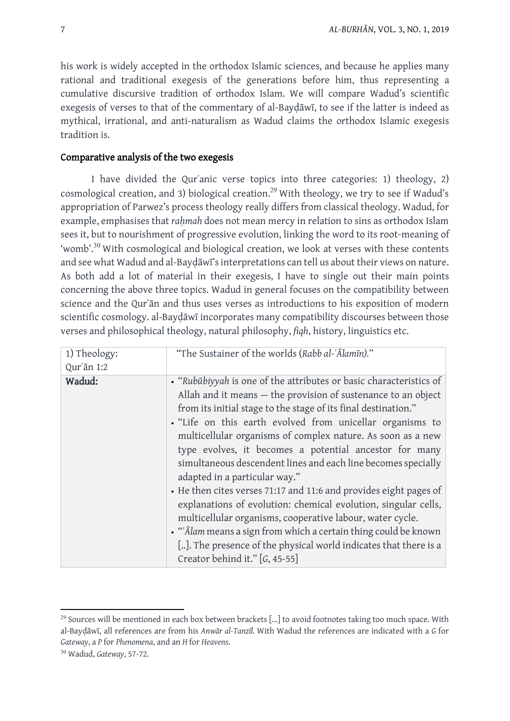his work is widely accepted in the orthodox Islamic sciences, and because he applies many rational and traditional exegesis of the generations before him, thus representing a cumulative discursive tradition of orthodox Islam. We will compare Wadud's scientific exegesis of verses to that of the commentary of al-Bayḍāwī, to see if the latter is indeed as mythical, irrational, and anti-naturalism as Wadud claims the orthodox Islamic exegesis tradition is.

### Comparative analysis of the two exegesis

I have divided the Qurʾanic verse topics into three categories: 1) theology, 2) cosmological creation, and 3) biological creation.<sup>29</sup> With theology, we try to see if Wadud's appropriation of Parwez's process theology really differs from classical theology. Wadud, for example, emphasises that *rahmah* does not mean mercy in relation to sins as orthodox Islam sees it, but to nourishment of progressive evolution, linking the word to its root-meaning of 'womb'.<sup>30</sup> With cosmological and biological creation, we look at verses with these contents and see what Wadud and al-Bayḍāwī's interpretations can tell us about their views on nature. As both add a lot of material in their exegesis, I have to single out their main points concerning the above three topics. Wadud in general focuses on the compatibility between science and the Qurʾān and thus uses verses as introductions to his exposition of modern scientific cosmology. al-Bayḍāwī incorporates many compatibility discourses between those verses and philosophical theology, natural philosophy, *fiqh*, history, linguistics etc.

| 1) Theology: | "The Sustainer of the worlds (Rabb al-'Alamīn)."                                                                                                                                                                                                                                                                                                                                                                                                                                                                                                                                                                                                                                                                                                                                                                                                                            |
|--------------|-----------------------------------------------------------------------------------------------------------------------------------------------------------------------------------------------------------------------------------------------------------------------------------------------------------------------------------------------------------------------------------------------------------------------------------------------------------------------------------------------------------------------------------------------------------------------------------------------------------------------------------------------------------------------------------------------------------------------------------------------------------------------------------------------------------------------------------------------------------------------------|
| Qur'an 1:2   |                                                                                                                                                                                                                                                                                                                                                                                                                                                                                                                                                                                                                                                                                                                                                                                                                                                                             |
| Wadud:       | • "Rubūbiyyah is one of the attributes or basic characteristics of<br>Allah and it means - the provision of sustenance to an object<br>from its initial stage to the stage of its final destination."<br>. "Life on this earth evolved from unicellar organisms to<br>multicellular organisms of complex nature. As soon as a new<br>type evolves, it becomes a potential ancestor for many<br>simultaneous descendent lines and each line becomes specially<br>adapted in a particular way."<br>• He then cites verses 71:17 and 11:6 and provides eight pages of<br>explanations of evolution: chemical evolution, singular cells,<br>multicellular organisms, cooperative labour, water cycle.<br>• "Alam means a sign from which a certain thing could be known<br>[]. The presence of the physical world indicates that there is a<br>Creator behind it." $[G, 45-55]$ |

**.** 

<sup>&</sup>lt;sup>29</sup> Sources will be mentioned in each box between brackets [...] to avoid footnotes taking too much space. With al-Bayḍāwī, all references are from his *Anwār al-Tanzīl.* With Wadud the references are indicated with a *G* for *Gateway*, a *P* for *Phenomena*, and an *H* for *Heavens*.

<sup>30</sup> Wadud, *Gateway*, 57-72.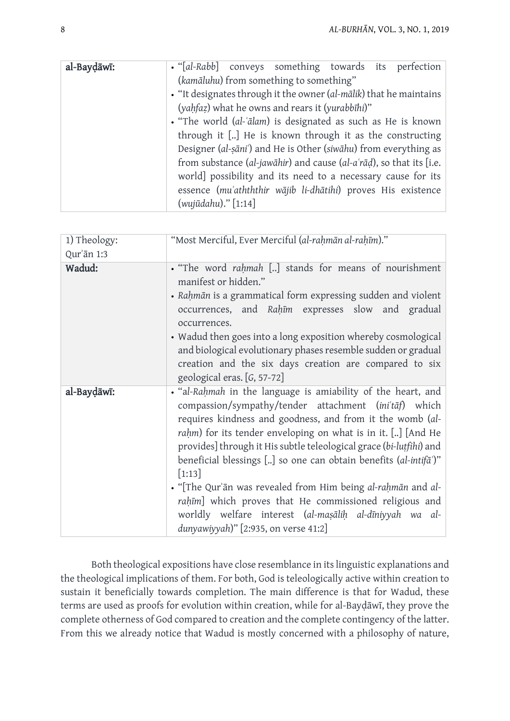| al-Baydāwī: | · "[al-Rabb] conveys something towards its perfection                   |  |
|-------------|-------------------------------------------------------------------------|--|
|             | (kamāluhu) from something to something"                                 |  |
|             | . "It designates through it the owner (al-mālik) that he maintains      |  |
|             | (yahfaz) what he owns and rears it (yurabbihi)"                         |  |
|             | . "The world (al-'ālam) is designated as such as He is known            |  |
|             | through it [] He is known through it as the constructing                |  |
|             | Designer (al-sāni') and He is Other (siwāhu) from everything as         |  |
|             | from substance (al-jawāhir) and cause (al- $a'$ rād), so that its [i.e. |  |
|             | world] possibility and its need to a necessary cause for its            |  |
|             | essence (mu'athththir wājib li-dhātihi) proves His existence            |  |
|             | (wujūdahu)." [1:14]                                                     |  |

| 1) Theology:<br>Qur'ān 1:3 | "Most Merciful, Ever Merciful (al-rahmān al-rahīm)."                                                                                                                                                                                                                                                                                                                                                                                                                                                                                                                                                                                                |
|----------------------------|-----------------------------------------------------------------------------------------------------------------------------------------------------------------------------------------------------------------------------------------------------------------------------------------------------------------------------------------------------------------------------------------------------------------------------------------------------------------------------------------------------------------------------------------------------------------------------------------------------------------------------------------------------|
| Wadud:                     | . "The word rahmah [] stands for means of nourishment<br>manifest or hidden."<br>• Rahmān is a grammatical form expressing sudden and violent<br>occurrences, and Rahim expresses slow and gradual<br>occurrences.<br>• Wadud then goes into a long exposition whereby cosmological<br>and biological evolutionary phases resemble sudden or gradual<br>creation and the six days creation are compared to six<br>geological eras. [G, 57-72]                                                                                                                                                                                                       |
| al-Baydāwī:                | . "al-Rahmah in the language is amiability of the heart, and<br>compassion/sympathy/tender attachment (ini'taf) which<br>requires kindness and goodness, and from it the womb (al-<br>rahm) for its tender enveloping on what is in it. [] [And He<br>provides] through it His subtle teleological grace (bi-lutfihi) and<br>beneficial blessings [] so one can obtain benefits (al-intifa <sup>*</sup> )"<br>$[1:13]$<br>. "[The Qur'an was revealed from Him being al-rahman and al-<br>rahīm] which proves that He commissioned religious and<br>worldly welfare interest (al-masālih al-dīniyyah wa al-<br>dunyawiyyah)" [2:935, on verse 41:2] |

Both theological expositions have close resemblance in itslinguistic explanations and the theological implications of them. For both, God is teleologically active within creation to sustain it beneficially towards completion. The main difference is that for Wadud, these terms are used as proofs for evolution within creation, while for al-Bayḍāwī, they prove the complete otherness of God compared to creation and the complete contingency of the latter. From this we already notice that Wadud is mostly concerned with a philosophy of nature,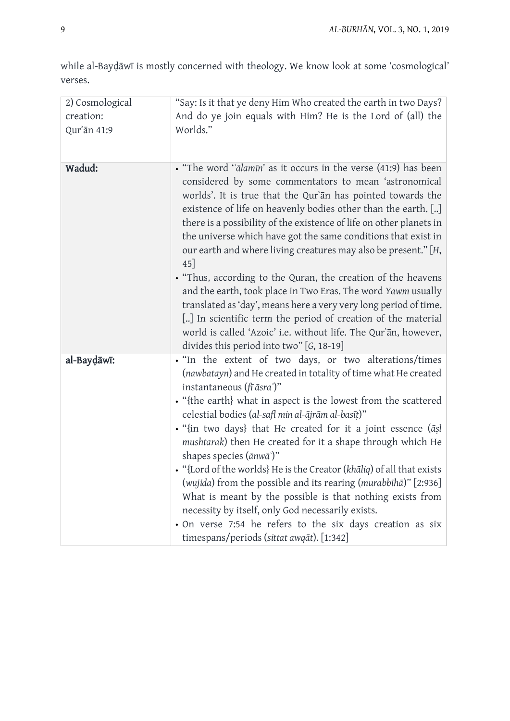while al-Bayḍāwī is mostly concerned with theology. We know look at some 'cosmological' verses.

| 2) Cosmological | "Say: Is it that ye deny Him Who created the earth in two Days?                                                                                                                                                                                                                                                                                                                                                                                                                                                                                                                                                                                                                                                                                                                                                                                                |
|-----------------|----------------------------------------------------------------------------------------------------------------------------------------------------------------------------------------------------------------------------------------------------------------------------------------------------------------------------------------------------------------------------------------------------------------------------------------------------------------------------------------------------------------------------------------------------------------------------------------------------------------------------------------------------------------------------------------------------------------------------------------------------------------------------------------------------------------------------------------------------------------|
| creation:       | And do ye join equals with Him? He is the Lord of (all) the                                                                                                                                                                                                                                                                                                                                                                                                                                                                                                                                                                                                                                                                                                                                                                                                    |
| Qur'ān 41:9     | Worlds."                                                                                                                                                                                                                                                                                                                                                                                                                                                                                                                                                                                                                                                                                                                                                                                                                                                       |
| Wadud:          | • "The word "ālamīn' as it occurs in the verse (41:9) has been<br>considered by some commentators to mean 'astronomical<br>worlds'. It is true that the Qur'an has pointed towards the<br>existence of life on heavenly bodies other than the earth. []<br>there is a possibility of the existence of life on other planets in<br>the universe which have got the same conditions that exist in<br>our earth and where living creatures may also be present." [H,<br>$45$ ]<br>. "Thus, according to the Quran, the creation of the heavens<br>and the earth, took place in Two Eras. The word Yawm usually<br>translated as 'day', means here a very very long period of time.<br>[] In scientific term the period of creation of the material<br>world is called 'Azoic' i.e. without life. The Qur'an, however,<br>divides this period into two" [G, 18-19] |
| al-Baydāwī:     | . "In the extent of two days, or two alterations/times<br>(nawbatayn) and He created in totality of time what He created<br>instantaneous (fī āsra')"<br>• "{the earth} what in aspect is the lowest from the scattered<br>celestial bodies (al-safl min al-ājrām al-basīț)"<br>· "{in two days} that He created for it a joint essence (asl<br>mushtarak) then He created for it a shape through which He<br>shapes species $(\bar{a}nw\bar{a})$ "<br>. "{Lord of the worlds} He is the Creator (khaliq) of all that exists<br>(wujida) from the possible and its rearing (murabbīhā)" [2:936]<br>What is meant by the possible is that nothing exists from<br>necessity by itself, only God necessarily exists.<br>· On verse 7:54 he refers to the six days creation as six<br>timespans/periods (sittat awqāt). [1:342]                                    |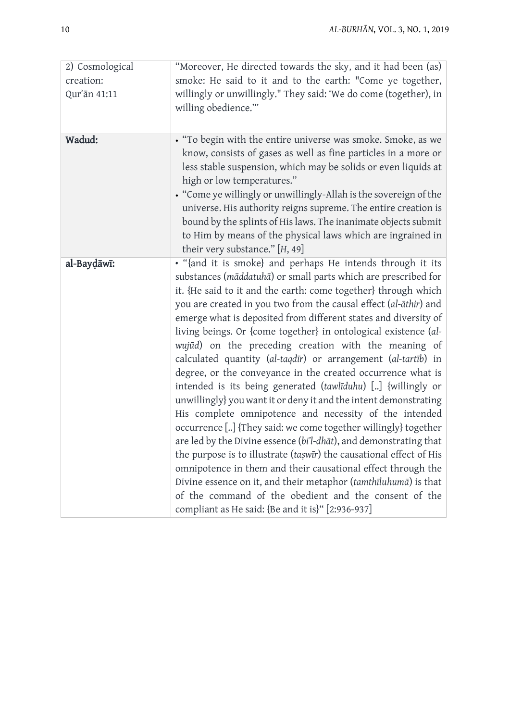| 2) Cosmological<br>creation:<br>Qur'ān 41:11 | "Moreover, He directed towards the sky, and it had been (as)<br>smoke: He said to it and to the earth: "Come ye together,<br>willingly or unwillingly." They said: 'We do come (together), in<br>willing obedience.""                                                                                                                                                                                                                                                                                                                                                                                                                                                                                                                                                                                                                                                                                                                                                                                                                                                                                                                                                                                                                                         |
|----------------------------------------------|---------------------------------------------------------------------------------------------------------------------------------------------------------------------------------------------------------------------------------------------------------------------------------------------------------------------------------------------------------------------------------------------------------------------------------------------------------------------------------------------------------------------------------------------------------------------------------------------------------------------------------------------------------------------------------------------------------------------------------------------------------------------------------------------------------------------------------------------------------------------------------------------------------------------------------------------------------------------------------------------------------------------------------------------------------------------------------------------------------------------------------------------------------------------------------------------------------------------------------------------------------------|
| Wadud:                                       | • "To begin with the entire universe was smoke. Smoke, as we<br>know, consists of gases as well as fine particles in a more or<br>less stable suspension, which may be solids or even liquids at<br>high or low temperatures."<br>• "Come ye willingly or unwillingly-Allah is the sovereign of the<br>universe. His authority reigns supreme. The entire creation is<br>bound by the splints of His laws. The inanimate objects submit<br>to Him by means of the physical laws which are ingrained in<br>their very substance." [H, 49]                                                                                                                                                                                                                                                                                                                                                                                                                                                                                                                                                                                                                                                                                                                      |
| al-Baydāwī:                                  | . "{and it is smoke} and perhaps He intends through it its<br>substances (māddatuhā) or small parts which are prescribed for<br>it. {He said to it and the earth: come together} through which<br>you are created in you two from the causal effect (al-āthir) and<br>emerge what is deposited from different states and diversity of<br>living beings. Or {come together} in ontological existence (al-<br>wujūd) on the preceding creation with the meaning of<br>calculated quantity (al-taqdīr) or arrangement (al-tartīb) in<br>degree, or the conveyance in the created occurrence what is<br>intended is its being generated (tawlīduhu) [] {willingly or<br>unwillingly} you want it or deny it and the intent demonstrating<br>His complete omnipotence and necessity of the intended<br>occurrence [] {They said: we come together willingly} together<br>are led by the Divine essence (bi'l-dhat), and demonstrating that<br>the purpose is to illustrate (taswir) the causational effect of His<br>omnipotence in them and their causational effect through the<br>Divine essence on it, and their metaphor (tamthīluhumā) is that<br>of the command of the obedient and the consent of the<br>compliant as He said: {Be and it is}" [2:936-937] |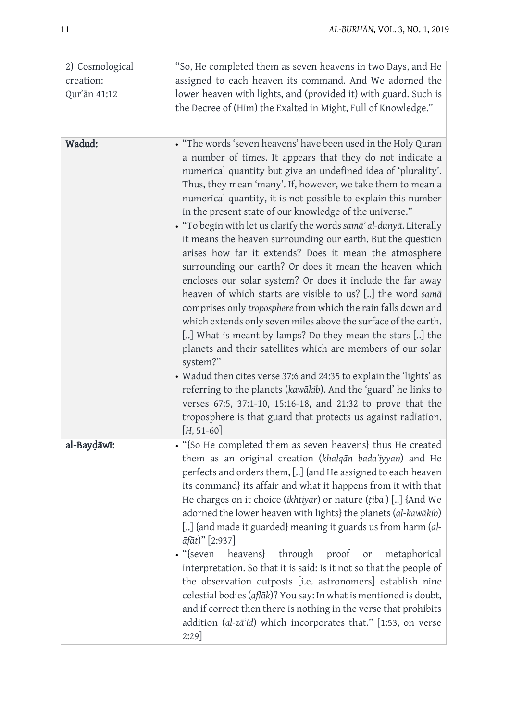| 2) Cosmological | "So, He completed them as seven heavens in two Days, and He                                                                                                                                                                                                                                                                                                                                                                                                                                                                                                                                                                                                                                                                                                                                                                                                                                                                                                                                                                                                                                                                   |
|-----------------|-------------------------------------------------------------------------------------------------------------------------------------------------------------------------------------------------------------------------------------------------------------------------------------------------------------------------------------------------------------------------------------------------------------------------------------------------------------------------------------------------------------------------------------------------------------------------------------------------------------------------------------------------------------------------------------------------------------------------------------------------------------------------------------------------------------------------------------------------------------------------------------------------------------------------------------------------------------------------------------------------------------------------------------------------------------------------------------------------------------------------------|
| creation:       | assigned to each heaven its command. And We adorned the                                                                                                                                                                                                                                                                                                                                                                                                                                                                                                                                                                                                                                                                                                                                                                                                                                                                                                                                                                                                                                                                       |
| Qur'an 41:12    | lower heaven with lights, and (provided it) with guard. Such is                                                                                                                                                                                                                                                                                                                                                                                                                                                                                                                                                                                                                                                                                                                                                                                                                                                                                                                                                                                                                                                               |
|                 | the Decree of (Him) the Exalted in Might, Full of Knowledge."                                                                                                                                                                                                                                                                                                                                                                                                                                                                                                                                                                                                                                                                                                                                                                                                                                                                                                                                                                                                                                                                 |
| Wadud:          | • "The words 'seven heavens' have been used in the Holy Quran<br>a number of times. It appears that they do not indicate a<br>numerical quantity but give an undefined idea of 'plurality'.<br>Thus, they mean 'many'. If, however, we take them to mean a<br>numerical quantity, it is not possible to explain this number<br>in the present state of our knowledge of the universe."<br>· "To begin with let us clarify the words samā' al-dunyā. Literally<br>it means the heaven surrounding our earth. But the question<br>arises how far it extends? Does it mean the atmosphere<br>surrounding our earth? Or does it mean the heaven which<br>encloses our solar system? Or does it include the far away<br>heaven of which starts are visible to us? [] the word samā<br>comprises only troposphere from which the rain falls down and<br>which extends only seven miles above the surface of the earth.<br>[] What is meant by lamps? Do they mean the stars [] the<br>planets and their satellites which are members of our solar<br>system?"<br>• Wadud then cites verse 37:6 and 24:35 to explain the 'lights' as |
|                 | referring to the planets (kawākib). And the 'guard' he links to<br>verses 67:5, 37:1-10, 15:16-18, and 21:32 to prove that the<br>troposphere is that guard that protects us against radiation.<br>$[H, 51-60]$                                                                                                                                                                                                                                                                                                                                                                                                                                                                                                                                                                                                                                                                                                                                                                                                                                                                                                               |
| al-Baydāwī:     | "{So He completed them as seven heavens} thus He created<br>them as an original creation (khalqān bada'iyyan) and He<br>perfects and orders them, [] {and He assigned to each heaven<br>its command} its affair and what it happens from it with that<br>He charges on it choice (ikhtiyar) or nature (tiba) [] {And We<br>adorned the lower heaven with lights} the planets (al-kawākib)<br>[] {and made it guarded} meaning it guards us from harm (al-<br>$\bar{a}$ fāt)" [2:937]<br>$\cdot$ "{seven<br>heavens}<br>through proof<br>or<br>metaphorical<br>interpretation. So that it is said: Is it not so that the people of<br>the observation outposts [i.e. astronomers] establish nine<br>celestial bodies (aflāk)? You say: In what is mentioned is doubt,<br>and if correct then there is nothing in the verse that prohibits<br>addition (al-zā'id) which incorporates that." [1:53, on verse<br>$2:29$ ]                                                                                                                                                                                                         |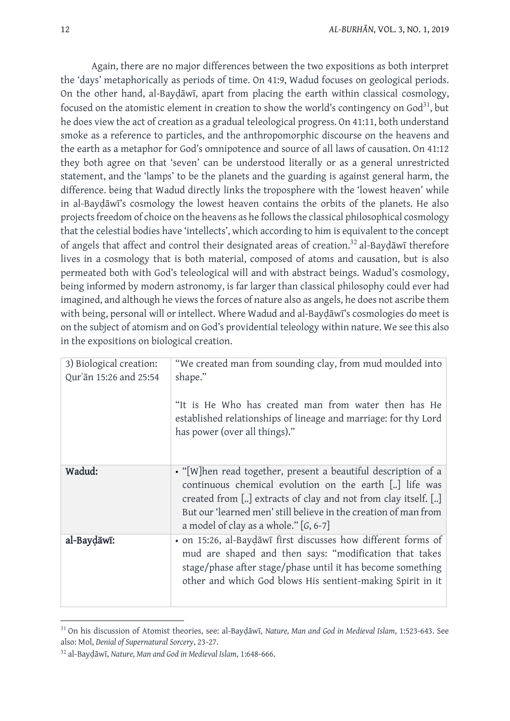Again, there are no major differences between the two expositions as both interpret the 'days' metaphorically as periods of time. On 41:9, Wadud focuses on geological periods. On the other hand, al-Bayḍāwī, apart from placing the earth within classical cosmology, focused on the atomistic element in creation to show the world's contingency on God $^{31}$ , but he does view the act of creation as a gradual teleological progress. On 41:11, both understand smoke as a reference to particles, and the anthropomorphic discourse on the heavens and the earth as a metaphor for God's omnipotence and source of all laws of causation. On 41:12 they both agree on that 'seven' can be understood literally or as a general unrestricted statement, and the 'lamps' to be the planets and the guarding is against general harm, the difference. being that Wadud directly links the troposphere with the 'lowest heaven' while in al-Bayḍāwī's cosmology the lowest heaven contains the orbits of the planets. He also projects freedom of choice on the heavens as he follows the classical philosophical cosmology that the celestial bodies have 'intellects', which according to him is equivalent to the concept of angels that affect and control their designated areas of creation.<sup>32</sup> al-Baydāwī therefore lives in a cosmology that is both material, composed of atoms and causation, but is also permeated both with God's teleological will and with abstract beings. Wadud's cosmology, being informed by modern astronomy, is far larger than classical philosophy could ever had imagined, and although he views the forces of nature also as angels, he does not ascribe them with being, personal will or intellect. Where Wadud and al-Bayḍāwī's cosmologies do meet is on the subject of atomism and on God's providential teleology within nature. We see this also in the expositions on biological creation.

| 3) Biological creation:<br>Qur'an 15:26 and 25:54 | "We created man from sounding clay, from mud moulded into<br>shape."<br>"It is He Who has created man from water then has He<br>established relationships of lineage and marriage: for thy Lord<br>has power (over all things)."                                                                     |
|---------------------------------------------------|------------------------------------------------------------------------------------------------------------------------------------------------------------------------------------------------------------------------------------------------------------------------------------------------------|
| Wadud:                                            | • "[W]hen read together, present a beautiful description of a<br>continuous chemical evolution on the earth [] life was<br>created from [] extracts of clay and not from clay itself. []<br>But our 'learned men' still believe in the creation of man from<br>a model of clay as a whole." [G, 6-7] |
| al-Baydāwī:                                       | • on 15:26, al-Baydawi first discusses how different forms of<br>mud are shaped and then says: "modification that takes<br>stage/phase after stage/phase until it has become something<br>other and which God blows His sentient-making Spirit in it                                                 |

<sup>31</sup> On his discussion of Atomist theories, see: al-Bayḍāwī, *Nature, Man and God in Medieval Islam*, 1:523-643. See also: Mol, *Denial of Supernatural Sorcery*, 23-27.

**.** 

<sup>32</sup> al-Bayḍāwī, *Nature, Man and God in Medieval Islam*, 1:648-666.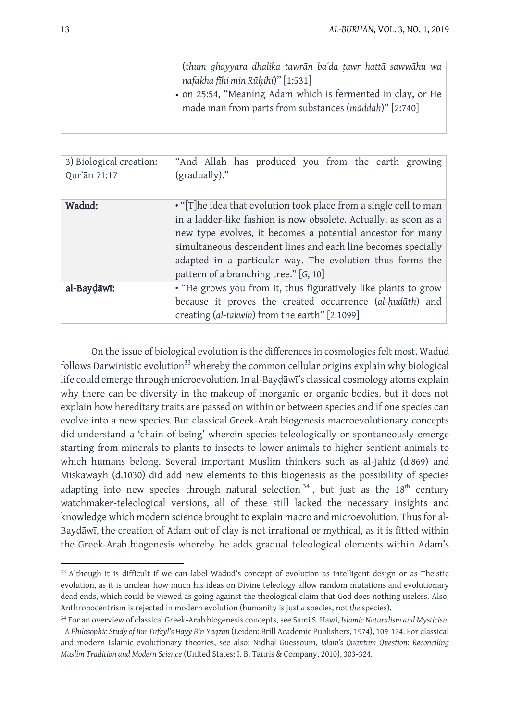| (thum ghayyara dhalika tawrān baʿda tawr hattā sawwāhu wa                                                            |
|----------------------------------------------------------------------------------------------------------------------|
| nafakha fihi min Rūhihi)" [1:531]                                                                                    |
| • on 25:54, "Meaning Adam which is fermented in clay, or He<br>made man from parts from substances (māddah)" [2:740] |
|                                                                                                                      |

| 3) Biological creation:<br>Qur'an 71:17 | "And Allah has produced you from the earth growing<br>(gradually)."                                                                                                                                                                                                                                                                                                         |
|-----------------------------------------|-----------------------------------------------------------------------------------------------------------------------------------------------------------------------------------------------------------------------------------------------------------------------------------------------------------------------------------------------------------------------------|
| Wadud:                                  | • "[T] he idea that evolution took place from a single cell to man<br>in a ladder-like fashion is now obsolete. Actually, as soon as a<br>new type evolves, it becomes a potential ancestor for many<br>simultaneous descendent lines and each line becomes specially<br>adapted in a particular way. The evolution thus forms the<br>pattern of a branching tree." [G, 10] |
| al-Baydāwī:                             | • "He grows you from it, thus figuratively like plants to grow<br>because it proves the created occurrence (al-hudūth) and<br>creating (al-takwin) from the earth" [2:1099]                                                                                                                                                                                                 |

On the issue of biological evolution is the differences in cosmologies felt most. Wadud follows Darwinistic evolution<sup>33</sup> whereby the common cellular origins explain why biological life could emerge through microevolution. In al-Bayḍāwī's classical cosmology atoms explain why there can be diversity in the makeup of inorganic or organic bodies, but it does not explain how hereditary traits are passed on within or between species and if one species can evolve into a new species. But classical Greek-Arab biogenesis macroevolutionary concepts did understand a 'chain of being' wherein species teleologically or spontaneously emerge starting from minerals to plants to insects to lower animals to higher sentient animals to which humans belong. Several important Muslim thinkers such as al-Jahiz (d.869) and Miskawayh (d.1030) did add new elements to this biogenesis as the possibility of species adapting into new species through natural selection  $34$ , but just as the 18<sup>th</sup> century watchmaker-teleological versions, all of these still lacked the necessary insights and knowledge which modern science brought to explain macro and microevolution. Thus for al-Bayḍāwī, the creation of Adam out of clay is not irrational or mythical, as it is fitted within the Greek-Arab biogenesis whereby he adds gradual teleological elements within Adam's

<sup>-</sup><sup>33</sup> Although it is difficult if we can label Wadud's concept of evolution as intelligent design or as Theistic evolution, as it is unclear how much his ideas on Divine teleology allow random mutations and evolutionary dead ends, which could be viewed as going against the theological claim that God does nothing useless. Also, Anthropocentrism is rejected in modern evolution (humanity is just *a* species, not *the* species).

<sup>34</sup> For an overview of classical Greek-Arab biogenesis concepts, see Sami S. Hawi, *Islamic Naturalism and Mysticism - A Philosophic Study of Ibn Tufayl's Hayy Bin Yaqzan* (Leiden: Brill Academic Publishers, 1974), 109-124. For classical and modern Islamic evolutionary theories, see also: Nidhal Guessoum, *Islam's Quantum Question: Reconciling Muslim Tradition and Modern Science* (United States: I. B. Tauris & Company, 2010), 303-324.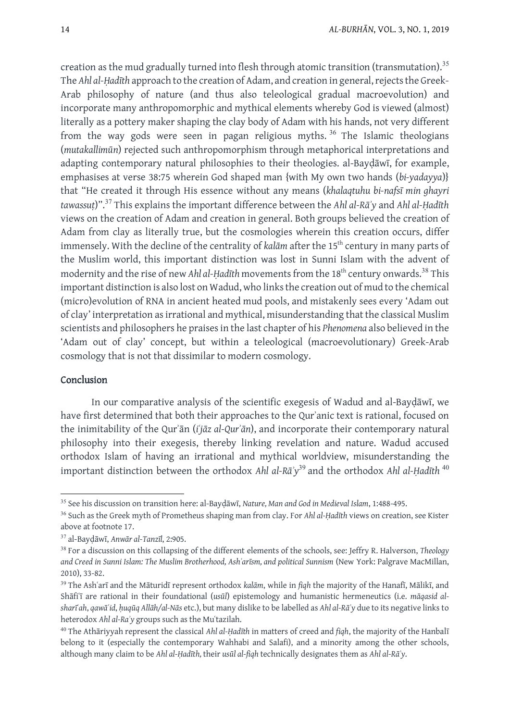creation as the mud gradually turned into flesh through atomic transition (transmutation).<sup>35</sup> The *Ahl al-Hadīth* approach to the creation of Adam, and creation in general, rejects the Greek-Arab philosophy of nature (and thus also teleological gradual macroevolution) and incorporate many anthropomorphic and mythical elements whereby God is viewed (almost) literally as a pottery maker shaping the clay body of Adam with his hands, not very different from the way gods were seen in pagan religious myths.<sup>36</sup> The Islamic theologians (*mutakallimūn*) rejected such anthropomorphism through metaphorical interpretations and adapting contemporary natural philosophies to their theologies. al-Bayḍāwī, for example, emphasises at verse 38:75 wherein God shaped man {with My own two hands (*bi-yadayya*)} that "He created it through His essence without any means (*khalaqtuhu bi-nafsī min ghayri tawassuṭ*)". <sup>37</sup> This explains the important difference between the *Ahl al-Rāʾy* and *Ahl al-Ḥadīth* views on the creation of Adam and creation in general. Both groups believed the creation of Adam from clay as literally true, but the cosmologies wherein this creation occurs, differ immensely. With the decline of the centrality of *kalām* after the 15<sup>th</sup> century in many parts of the Muslim world, this important distinction was lost in Sunni Islam with the advent of modernity and the rise of new *Ahl al-Ḥadīth* movementsfrom the 18th century onwards. <sup>38</sup> This important distinction is also lost on Wadud, who linksthe creation out of mud to the chemical (micro)evolution of RNA in ancient heated mud pools, and mistakenly sees every 'Adam out of clay' interpretation asirrational and mythical, misunderstanding that the classical Muslim scientists and philosophers he praises in the last chapter of his *Phenomena* also believed in the 'Adam out of clay' concept, but within a teleological (macroevolutionary) Greek-Arab cosmology that is not that dissimilar to modern cosmology.

## Conclusion

1

In our comparative analysis of the scientific exegesis of Wadud and al-Bayḍāwī, we have first determined that both their approaches to the Qurʾanic text is rational, focused on the inimitability of the Qurʾān (*iʿjāz al-Qurʾān*), and incorporate their contemporary natural philosophy into their exegesis, thereby linking revelation and nature. Wadud accused orthodox Islam of having an irrational and mythical worldview, misunderstanding the important distinction between the orthodox *Ahl al-Ra*<sup>'</sup>y<sup>39</sup> and the orthodox *Ahl al-Hadīth*<sup>40</sup>

<sup>35</sup> See his discussion on transition here: al-Bayḍāwī, *Nature, Man and God in Medieval Islam*, 1:488-495.

<sup>36</sup> Such as the Greek myth of Prometheus shaping man from clay. For *Ahl al-Ḥadīth* views on creation, see Kister above at footnote 17.

<sup>37</sup> al-Bayḍāwī, *Anwār al-Tanzīl*, 2:905.

<sup>38</sup> For a discussion on this collapsing of the different elements of the schools, see: Jeffry R. Halverson, *Theology and Creed in Sunni Islam: The Muslim Brotherhood, Ashʿarīsm, and political Sunnism* (New York: Palgrave MacMillan, 2010), 33-82.

<sup>39</sup> The Ashʿarī and the Māturidī represent orthodox *kalām*, while in *fiqh* the majority of the Hanafī, Mālikī, and Shāfiʿī are rational in their foundational (*usūl*) epistemology and humanistic hermeneutics (i.e. *māqasid alsharīʿah*, *qawāʿid*, *ḥuqūq Allāh/al-Nās* etc.), but many dislike to be labelled as *Ahl al-Rāʾy* due to its negative links to heterodox *Ahl al-Raʾy* groups such as the Muʿtazilah.

<sup>40</sup> The Athāriyyah represent the classical *Ahl al-Ḥadīth* in matters of creed and *fiqh*, the majority of the Hanbalī belong to it (especially the contemporary Wahhabi and Salafi), and a minority among the other schools, although many claim to be *Ahl al-Ḥadīth,* their *usūl al-fiqh* technically designates them as *Ahl al-Rāʾy*.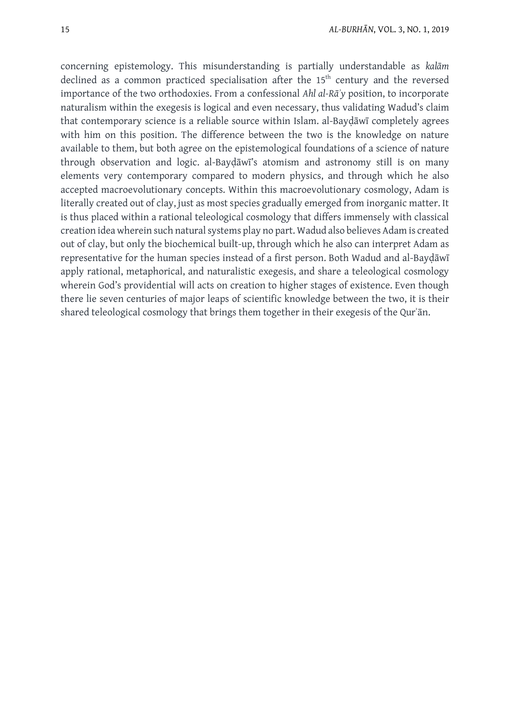concerning epistemology. This misunderstanding is partially understandable as *kalām* declined as a common practiced specialisation after the 15<sup>th</sup> century and the reversed importance of the two orthodoxies. From a confessional *Ahl al-Rāʾy* position, to incorporate naturalism within the exegesis is logical and even necessary, thus validating Wadud's claim that contemporary science is a reliable source within Islam. al-Bayḍāwī completely agrees with him on this position. The difference between the two is the knowledge on nature available to them, but both agree on the epistemological foundations of a science of nature through observation and logic. al-Bayḍāwī's atomism and astronomy still is on many elements very contemporary compared to modern physics, and through which he also accepted macroevolutionary concepts. Within this macroevolutionary cosmology, Adam is literally created out of clay, just as most species gradually emerged from inorganic matter. It is thus placed within a rational teleological cosmology that differs immensely with classical creation idea wherein such natural systems play no part. Wadud also believes Adam is created out of clay, but only the biochemical built-up, through which he also can interpret Adam as representative for the human species instead of a first person. Both Wadud and al-Bayḍāwī apply rational, metaphorical, and naturalistic exegesis, and share a teleological cosmology wherein God's providential will acts on creation to higher stages of existence. Even though there lie seven centuries of major leaps of scientific knowledge between the two, it is their shared teleological cosmology that brings them together in their exegesis of the Qurʾān.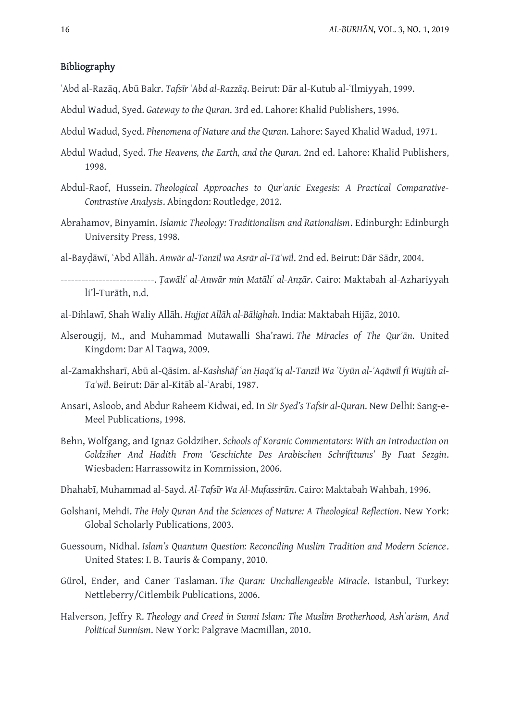## Bibliography

- ʿAbd al-Razāq, Abū Bakr. *Tafsīr ʿAbd al-Razzāq*. Beirut: Dār al-Kutub al-ʿIlmiyyah, 1999.
- Abdul Wadud, Syed. *Gateway to the Quran*. 3rd ed. Lahore: Khalid Publishers, 1996.
- Abdul Wadud, Syed. *Phenomena of Nature and the Quran*. Lahore: Sayed Khalid Wadud, 1971.
- Abdul Wadud, Syed. *The Heavens, the Earth, and the Quran*. 2nd ed. Lahore: Khalid Publishers, 1998.
- Abdul-Raof, Hussein. *Theological Approaches to Qurʾanic Exegesis: A Practical Comparative-Contrastive Analysis*. Abingdon: Routledge, 2012.
- Abrahamov, Binyamin. *Islamic Theology: Traditionalism and Rationalism*. Edinburgh: Edinburgh University Press, 1998.
- al-Bayḍāwī, ʿAbd Allāh. *Anwār al-Tanzīl wa Asrār al-Tāʾwīl*. 2nd ed. Beirut: Dār Sādr, 2004.
- ---------------------------. *Ṭawāliʿ al-Anwār min Matāliʿ al-Anẓār*. Cairo: Maktabah al-Azhariyyah li'l-Turāth, n.d.
- al-Dihlawī, Shah Waliy Allāh. *Hujjat Allāh al-Bālighah*. India: Maktabah Hijāz, 2010.
- Alserougij, M., and Muhammad Mutawalli Sha'rawi. *The Miracles of The Qurʾān*. United Kingdom: Dar Al Taqwa, 2009.
- al-Zamakhsharī, Abū al-Qāsim. a*l-Kashshāf ʿan Ḥaqāʾiq al-Tanzīl Wa ʿUyūn al-ʾAqāwīl fī Wujūh al-Taʾwīl*. Beirut: Dār al-Kitāb al-ʿArabi, 1987.
- Ansari, Asloob, and Abdur Raheem Kidwai, ed. In *Sir Syed's Tafsir al-Quran*. New Delhi: Sang-e-Meel Publications, 1998.
- Behn, Wolfgang, and Ignaz Goldziher. *Schools of Koranic Commentators: With an Introduction on Goldziher And Hadith From 'Geschichte Des Arabischen Schrifttums' By Fuat Sezgin*. Wiesbaden: Harrassowitz in Kommission, 2006.
- Dhahabī, Muhammad al-Sayd. *Al-Tafsīr Wa Al-Mufassirūn*. Cairo: Maktabah Wahbah, 1996.
- Golshani, Mehdi. *The Holy Quran And the Sciences of Nature: A Theological Reflection*. New York: Global Scholarly Publications, 2003.
- Guessoum, Nidhal. *Islam's Quantum Question: Reconciling Muslim Tradition and Modern Science*. United States: I. B. Tauris & Company, 2010.
- Gürol, Ender, and Caner Taslaman. *The Quran: Unchallengeable Miracle*. Istanbul, Turkey: Nettleberry/Citlembik Publications, 2006.
- Halverson, Jeffry R. *Theology and Creed in Sunni Islam: The Muslim Brotherhood, Ashʿarism, And Political Sunnism*. New York: Palgrave Macmillan, 2010.